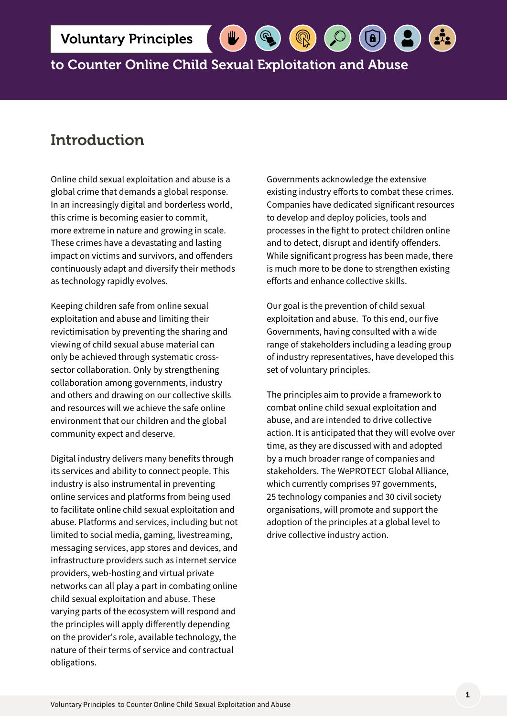to Counter Online Child Sexual Exploitation and Abuse

# Introduction

Online child sexual exploitation and abuse is a global crime that demands a global response. In an increasingly digital and borderless world, this crime is becoming easier to commit, more extreme in nature and growing in scale. These crimes have a devastating and lasting impact on victims and survivors, and offenders continuously adapt and diversify their methods as technology rapidly evolves.

Keeping children safe from online sexual exploitation and abuse and limiting their revictimisation by preventing the sharing and viewing of child sexual abuse material can only be achieved through systematic crosssector collaboration. Only by strengthening collaboration among governments, industry and others and drawing on our collective skills and resources will we achieve the safe online environment that our children and the global community expect and deserve.

Digital industry delivers many benefits through its services and ability to connect people. This industry is also instrumental in preventing online services and platforms from being used to facilitate online child sexual exploitation and abuse. Platforms and services, including but not limited to social media, gaming, livestreaming, messaging services, app stores and devices, and infrastructure providers such as internet service providers, web-hosting and virtual private networks can all play a part in combating online child sexual exploitation and abuse. These varying parts of the ecosystem will respond and the principles will apply differently depending on the provider's role, available technology, the nature of their terms of service and contractual obligations.

Governments acknowledge the extensive existing industry efforts to combat these crimes. Companies have dedicated significant resources to develop and deploy policies, tools and processes in the fight to protect children online and to detect, disrupt and identify offenders. While significant progress has been made, there is much more to be done to strengthen existing efforts and enhance collective skills.

 $\bigcirc$ 

Our goal is the prevention of child sexual exploitation and abuse. To this end, our five Governments, having consulted with a wide range of stakeholders including a leading group of industry representatives, have developed this set of voluntary principles.

The principles aim to provide a framework to combat online child sexual exploitation and abuse, and are intended to drive collective action. It is anticipated that they will evolve over time, as they are discussed with and adopted by a much broader range of companies and stakeholders. The WePROTECT Global Alliance, which currently comprises 97 governments, 25 technology companies and 30 civil society organisations, will promote and support the adoption of the principles at a global level to drive collective industry action.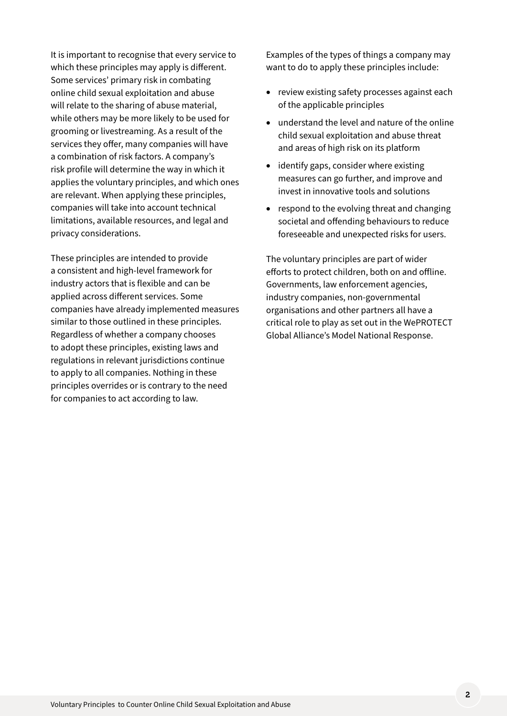It is important to recognise that every service to which these principles may apply is different. Some services' primary risk in combating online child sexual exploitation and abuse will relate to the sharing of abuse material, while others may be more likely to be used for grooming or livestreaming. As a result of the services they offer, many companies will have a combination of risk factors. A company's risk profile will determine the way in which it applies the voluntary principles, and which ones are relevant. When applying these principles, companies will take into account technical limitations, available resources, and legal and privacy considerations.

These principles are intended to provide a consistent and high-level framework for industry actors that is flexible and can be applied across different services. Some companies have already implemented measures similar to those outlined in these principles. Regardless of whether a company chooses to adopt these principles, existing laws and regulations in relevant jurisdictions continue to apply to all companies. Nothing in these principles overrides or is contrary to the need for companies to act according to law.

Examples of the types of things a company may want to do to apply these principles include:

- review existing safety processes against each of the applicable principles
- understand the level and nature of the online child sexual exploitation and abuse threat and areas of high risk on its platform
- • identify gaps, consider where existing measures can go further, and improve and invest in innovative tools and solutions
- respond to the evolving threat and changing societal and offending behaviours to reduce foreseeable and unexpected risks for users.

The voluntary principles are part of wider efforts to protect children, both on and offline. Governments, law enforcement agencies, industry companies, non-governmental organisations and other partners all have a critical role to play as set out in the WePROTECT Global Alliance's Model National Response.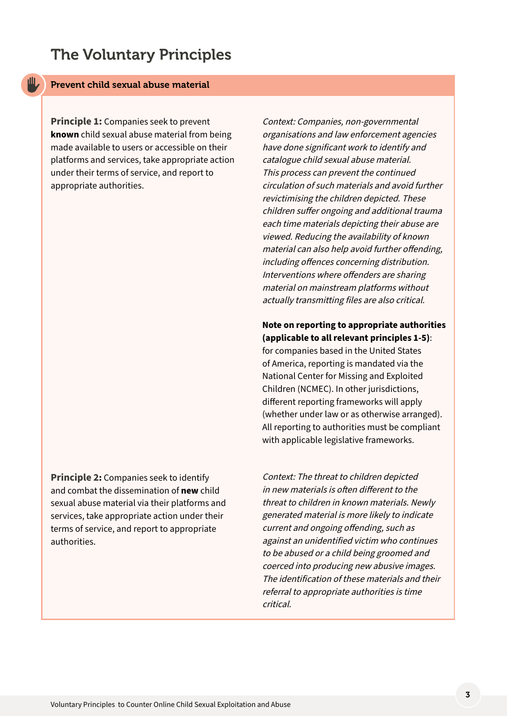# The Voluntary Principles

## Prevent child sexual abuse material

rШ

**Principle 1:** Companies seek to prevent **known** child sexual abuse material from being made available to users or accessible on their platforms and services, take appropriate action under their terms of service, and report to appropriate authorities.

**Principle 2:** Companies seek to identify and combat the dissemination of **new** child sexual abuse material via their platforms and services, take appropriate action under their terms of service, and report to appropriate authorities.

Context: Companies, non-governmental organisations and law enforcement agencies have done significant work to identify and catalogue child sexual abuse material. This process can prevent the continued circulation of such materials and avoid further revictimising the children depicted. These children suffer ongoing and additional trauma each time materials depicting their abuse are viewed. Reducing the availability of known material can also help avoid further offending, including offences concerning distribution. Interventions where offenders are sharing material on mainstream platforms without actually transmitting files are also critical.

## **Note on reporting to appropriate authorities (applicable to all relevant principles 1-5)**:

for companies based in the United States of America, reporting is mandated via the National Center for Missing and Exploited Children (NCMEC). In other jurisdictions, different reporting frameworks will apply (whether under law or as otherwise arranged). All reporting to authorities must be compliant with applicable legislative frameworks.

Context: The threat to children depicted in new materials is often different to the threat to children in known materials. Newly generated material is more likely to indicate current and ongoing offending, such as against an unidentified victim who continues to be abused or a child being groomed and coerced into producing new abusive images. The identification of these materials and their referral to appropriate authorities is time critical.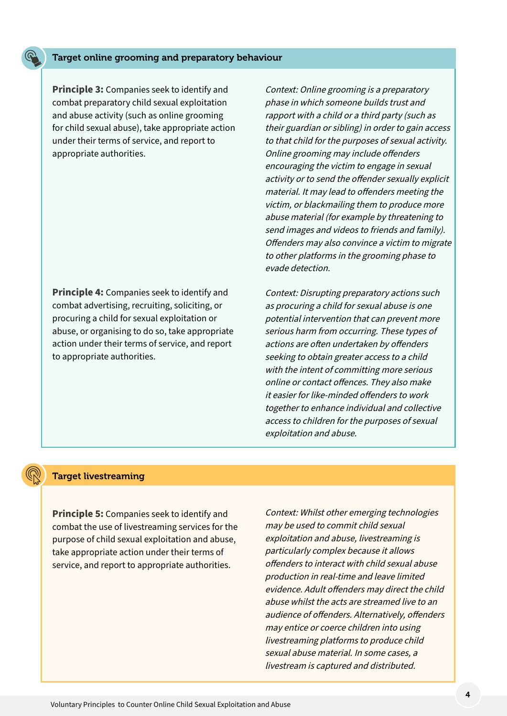#### Target online grooming and preparatory behaviour

**Principle 3:** Companies seek to identify and combat preparatory child sexual exploitation and abuse activity (such as online grooming for child sexual abuse), take appropriate action under their terms of service, and report to appropriate authorities.

**Principle 4:** Companies seek to identify and combat advertising, recruiting, soliciting, or procuring a child for sexual exploitation or abuse, or organising to do so, take appropriate action under their terms of service, and report to appropriate authorities.

Context: Online grooming is a preparatory phase in which someone builds trust and rapport with a child or a third party (such as their guardian or sibling) in order to gain access to that child for the purposes of sexual activity. Online grooming may include offenders encouraging the victim to engage in sexual activity or to send the offender sexually explicit material. It may lead to offenders meeting the victim, or blackmailing them to produce more abuse material (for example by threatening to send images and videos to friends and family). Offenders may also convince a victim to migrate to other platforms in the grooming phase to evade detection.

Context: Disrupting preparatory actions such as procuring a child for sexual abuse is one potential intervention that can prevent more serious harm from occurring. These types of actions are often undertaken by offenders seeking to obtain greater access to a child with the intent of committing more serious online or contact offences. They also make it easier for like-minded offenders to work together to enhance individual and collective access to children for the purposes of sexual exploitation and abuse.

#### Target livestreaming

**Principle 5:** Companies seek to identify and combat the use of livestreaming services for the purpose of child sexual exploitation and abuse, take appropriate action under their terms of service, and report to appropriate authorities.

Context: Whilst other emerging technologies may be used to commit child sexual exploitation and abuse, livestreaming is particularly complex because it allows offenders to interact with child sexual abuse production in real-time and leave limited evidence. Adult offenders may direct the child abuse whilst the acts are streamed live to an audience of offenders. Alternatively, offenders may entice or coerce children into using livestreaming platforms to produce child sexual abuse material. In some cases, a livestream is captured and distributed.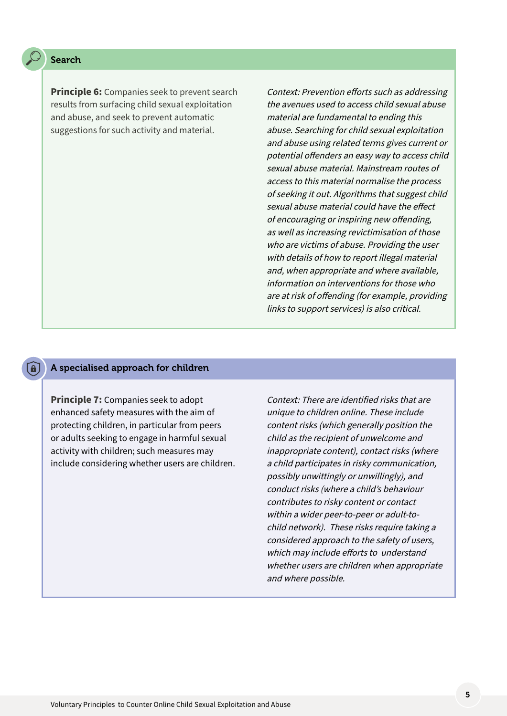### Search

**Principle 6:** Companies seek to prevent search results from surfacing child sexual exploitation and abuse, and seek to prevent automatic suggestions for such activity and material.

Context: Prevention efforts such as addressing the avenues used to access child sexual abuse material are fundamental to ending this abuse. Searching for child sexual exploitation and abuse using related terms gives current or potential offenders an easy way to access child sexual abuse material. Mainstream routes of access to this material normalise the process of seeking it out. Algorithms that suggest child sexual abuse material could have the effect of encouraging or inspiring new offending, as well as increasing revictimisation of those who are victims of abuse. Providing the user with details of how to report illegal material and, when appropriate and where available, information on interventions for those who are at risk of offending (for example, providing links to support services) is also critical.

### A specialised approach for children

**Principle 7:** Companies seek to adopt enhanced safety measures with the aim of protecting children, in particular from peers or adults seeking to engage in harmful sexual activity with children; such measures may include considering whether users are children.

Context: There are identified risks that are unique to children online. These include content risks (which generally position the child as the recipient of unwelcome and inappropriate content), contact risks (where a child participates in risky communication, possibly unwittingly or unwillingly), and conduct risks (where a child's behaviour contributes to risky content or contact within a wider peer-to-peer or adult-tochild network). These risks require taking a considered approach to the safety of users, which may include efforts to understand whether users are children when appropriate and where possible.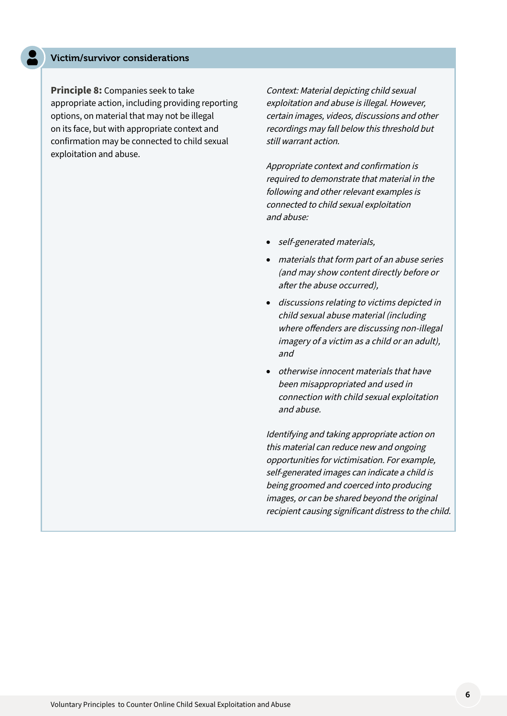#### Victim/survivor considerations

**Principle 8:** Companies seek to take appropriate action, including providing reporting options, on material that may not be illegal on its face, but with appropriate context and confirmation may be connected to child sexual exploitation and abuse.

Context: Material depicting child sexual exploitation and abuse is illegal. However, certain images, videos, discussions and other recordings may fall below this threshold but still warrant action.

Appropriate context and confirmation is required to demonstrate that material in the following and other relevant examples is connected to child sexual exploitation and abuse:

- self-generated materials,
- materials that form part of an abuse series (and may show content directly before or after the abuse occurred),
- • discussions relating to victims depicted in child sexual abuse material (including where offenders are discussing non-illegal imagery of a victim as a child or an adult), and
- otherwise innocent materials that have been misappropriated and used in connection with child sexual exploitation and abuse.

Identifying and taking appropriate action on this material can reduce new and ongoing opportunities for victimisation. For example, self-generated images can indicate a child is being groomed and coerced into producing images, or can be shared beyond the original recipient causing significant distress to the child.